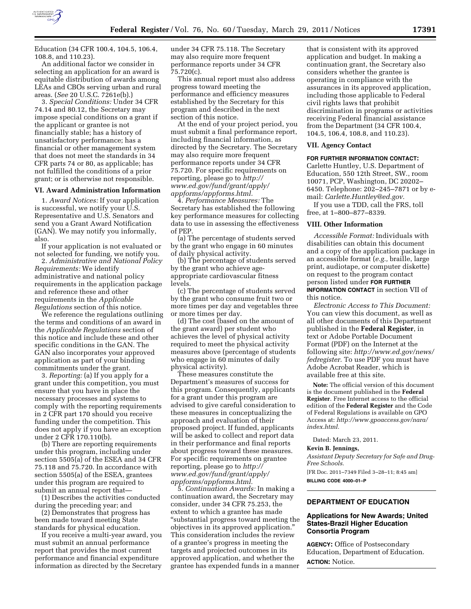

Education (34 CFR 100.4, 104.5, 106.4, 108.8, and 110.23).

An additional factor we consider in selecting an application for an award is equitable distribution of awards among LEAs and CBOs serving urban and rural areas. (*See* 20 U.S.C. 7261e(b).)

3. *Special Conditions:* Under 34 CFR 74.14 and 80.12, the Secretary may impose special conditions on a grant if the applicant or grantee is not financially stable; has a history of unsatisfactory performance; has a financial or other management system that does not meet the standards in 34 CFR parts 74 or 80, as applicable; has not fulfilled the conditions of a prior grant; or is otherwise not responsible.

# **VI. Award Administration Information**

1. *Award Notices:* If your application is successful, we notify your U.S. Representative and U.S. Senators and send you a Grant Award Notification (GAN). We may notify you informally, also.

If your application is not evaluated or not selected for funding, we notify you.

2. *Administrative and National Policy Requirements:* We identify administrative and national policy requirements in the application package and reference these and other requirements in the *Applicable Regulations* section of this notice.

We reference the regulations outlining the terms and conditions of an award in the *Applicable Regulations* section of this notice and include these and other specific conditions in the GAN. The GAN also incorporates your approved application as part of your binding commitments under the grant.

3. *Reporting:* (a) If you apply for a grant under this competition, you must ensure that you have in place the necessary processes and systems to comply with the reporting requirements in 2 CFR part 170 should you receive funding under the competition. This does not apply if you have an exception under 2 CFR 170.110(b).

(b) There are reporting requirements under this program, including under section 5505(a) of the ESEA and 34 CFR 75.118 and 75.720. In accordance with section 5505(a) of the ESEA, grantees under this program are required to submit an annual report that—

(1) Describes the activities conducted during the preceding year; and

(2) Demonstrates that progress has been made toward meeting State standards for physical education.

If you receive a multi-year award, you must submit an annual performance report that provides the most current performance and financial expenditure information as directed by the Secretary

under 34 CFR 75.118. The Secretary may also require more frequent performance reports under 34 CFR 75.720(c).

This annual report must also address progress toward meeting the performance and efficiency measures established by the Secretary for this program and described in the next section of this notice.

At the end of your project period, you must submit a final performance report, including financial information, as directed by the Secretary. The Secretary may also require more frequent performance reports under 34 CFR 75.720. For specific requirements on reporting, please go to *[http://](http://www.ed.gov/fund/grant/apply/appforms/appforms.html) [www.ed.gov/fund/grant/apply/](http://www.ed.gov/fund/grant/apply/appforms/appforms.html) [appforms/appforms.html.](http://www.ed.gov/fund/grant/apply/appforms/appforms.html)* 

4. *Performance Measures:* The Secretary has established the following key performance measures for collecting data to use in assessing the effectiveness of PEP.

(a) The percentage of students served by the grant who engage in 60 minutes of daily physical activity.

(b) The percentage of students served by the grant who achieve ageappropriate cardiovascular fitness levels.

(c) The percentage of students served by the grant who consume fruit two or more times per day and vegetables three or more times per day.

(d) The cost (based on the amount of the grant award) per student who achieves the level of physical activity required to meet the physical activity measures above (percentage of students who engage in 60 minutes of daily physical activity).

These measures constitute the Department's measures of success for this program. Consequently, applicants for a grant under this program are advised to give careful consideration to these measures in conceptualizing the approach and evaluation of their proposed project. If funded, applicants will be asked to collect and report data in their performance and final reports about progress toward these measures. For specific requirements on grantee reporting, please go to *[http://](http://www.ed.gov/fund/grant/apply/appforms/appforms.html) [www.ed.gov/fund/grant/apply/](http://www.ed.gov/fund/grant/apply/appforms/appforms.html) [appforms/appforms.html.](http://www.ed.gov/fund/grant/apply/appforms/appforms.html)* 

5. *Continuation Awards:* In making a continuation award, the Secretary may consider, under 34 CFR 75.253, the extent to which a grantee has made ''substantial progress toward meeting the objectives in its approved application.'' This consideration includes the review of a grantee's progress in meeting the targets and projected outcomes in its approved application, and whether the grantee has expended funds in a manner

that is consistent with its approved application and budget. In making a continuation grant, the Secretary also considers whether the grantee is operating in compliance with the assurances in its approved application, including those applicable to Federal civil rights laws that prohibit discrimination in programs or activities receiving Federal financial assistance from the Department (34 CFR 100.4, 104.5, 106.4, 108.8, and 110.23).

#### **VII. Agency Contact**

#### **FOR FURTHER INFORMATION CONTACT:**

Carlette Huntley, U.S. Department of Education, 550 12th Street, SW., room 10071, PCP, Washington, DC 20202– 6450. Telephone: 202–245–7871 or by email: *[Carlette.Huntley@ed.gov.](mailto:Carlette.Huntley@ed.gov)* 

If you use a TDD, call the FRS, toll free, at 1–800–877–8339.

#### **VIII. Other Information**

*Accessible Format:* Individuals with disabilities can obtain this document and a copy of the application package in an accessible format (*e.g.,* braille, large print, audiotape, or computer diskette) on request to the program contact person listed under **FOR FURTHER INFORMATION CONTACT** in section VII of this notice.

*Electronic Access to This Document:*  You can view this document, as well as all other documents of this Department published in the **Federal Register**, in text or Adobe Portable Document Format (PDF) on the Internet at the following site: *[http://www.ed.gov/news/](http://www.ed.gov/news/fedregister) [fedregister.](http://www.ed.gov/news/fedregister)* To use PDF you must have Adobe Acrobat Reader, which is available free at this site.

**Note:** The official version of this document is the document published in the **Federal Register**. Free Internet access to the official edition of the **Federal Register** and the Code of Federal Regulations is available on GPO Access at: *[http://www.gpoaccess.gov/nara/](http://www.gpoaccess.gov/nara/index.html) [index.html.](http://www.gpoaccess.gov/nara/index.html)* 

Dated: March 23, 2011.

#### **Kevin B. Jennings,**

*Assistant Deputy Secretary for Safe and Drug-Free Schools.* 

[FR Doc. 2011–7349 Filed 3–28–11; 8:45 am] **BILLING CODE 4000–01–P** 

# **DEPARTMENT OF EDUCATION**

## **Applications for New Awards; United States-Brazil Higher Education Consortia Program**

**AGENCY:** Office of Postsecondary Education, Department of Education. **ACTION:** Notice.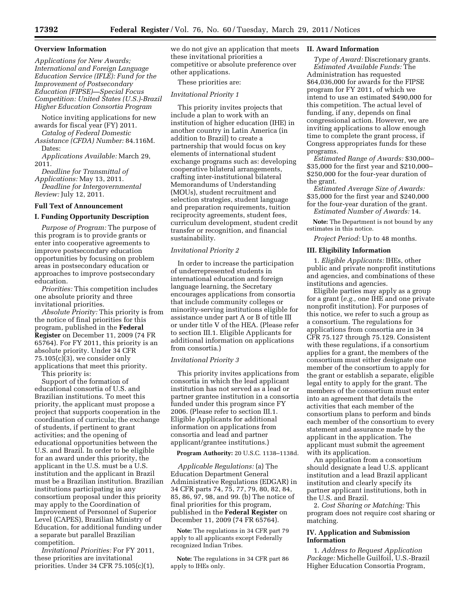### **Overview Information**

*Applications for New Awards; International and Foreign Language Education Service (IFLE): Fund for the Improvement of Postsecondary Education (FIPSE)—Special Focus Competition: United States (U.S.)-Brazil Higher Education Consortia Program* 

Notice inviting applications for new awards for fiscal year (FY) 2011.

*Catalog of Federal Domestic Assistance (CFDA) Number:* 84.116M. Dates:

*Applications Available:* March 29, 2011.

*Deadline for Transmittal of Applications:* May 13, 2011. *Deadline for Intergovernmental Review:* July 12, 2011.

## **Full Text of Announcement**

### **I. Funding Opportunity Description**

*Purpose of Program:* The purpose of this program is to provide grants or enter into cooperative agreements to improve postsecondary education opportunities by focusing on problem areas in postsecondary education or approaches to improve postsecondary education.

*Priorities:* This competition includes one absolute priority and three invitational priorities.

*Absolute Priority:* This priority is from the notice of final priorities for this program, published in the **Federal Register** on December 11, 2009 (74 FR 65764). For FY 2011, this priority is an absolute priority. Under 34 CFR 75.105(c)(3), we consider only applications that meet this priority. This priority is:

Support of the formation of educational consortia of U.S. and Brazilian institutions. To meet this priority, the applicant must propose a project that supports cooperation in the coordination of curricula; the exchange of students, if pertinent to grant activities; and the opening of educational opportunities between the U.S. and Brazil. In order to be eligible for an award under this priority, the applicant in the U.S. must be a U.S. institution and the applicant in Brazil must be a Brazilian institution. Brazilian institutions participating in any consortium proposal under this priority may apply to the Coordination of Improvement of Personnel of Superior Level (CAPES), Brazilian Ministry of Education, for additional funding under a separate but parallel Brazilian competition.

*Invitational Priorities:* For FY 2011, these priorities are invitational priorities. Under 34 CFR 75.105(c)(1),

we do not give an application that meets these invitational priorities a competitive or absolute preference over other applications.

These priorities are:

#### *Invitational Priority 1*

This priority invites projects that include a plan to work with an institution of higher education (IHE) in another country in Latin America (in addition to Brazil) to create a partnership that would focus on key elements of international student exchange programs such as: developing cooperative bilateral arrangements, crafting inter-institutional bilateral Memorandums of Understanding (MOUs), student recruitment and selection strategies, student language and preparation requirements, tuition reciprocity agreements, student fees, curriculum development, student credit transfer or recognition, and financial sustainability.

### *Invitational Priority 2*

In order to increase the participation of underrepresented students in international education and foreign language learning, the Secretary encourages applications from consortia that include community colleges or minority-serving institutions eligible for assistance under part A or B of title III or under title V of the HEA. (Please refer to section III.1. Eligible Applicants for additional information on applications from consortia.)

## *Invitational Priority 3*

This priority invites applications from consortia in which the lead applicant institution has not served as a lead or partner grantee institution in a consortia funded under this program since FY 2006. (Please refer to section III.1. Eligible Applicants for additional information on applications from consortia and lead and partner applicant/grantee institutions.)

**Program Authority:** 20 U.S.C. 1138–1138d.

*Applicable Regulations:* (a) The Education Department General Administrative Regulations (EDGAR) in 34 CFR parts 74, 75, 77, 79, 80, 82, 84, 85, 86, 97, 98, and 99. (b) The notice of final priorities for this program, published in the **Federal Register** on December 11, 2009 (74 FR 65764).

**Note:** The regulations in 34 CFR part 79 apply to all applicants except Federally recognized Indian Tribes.

**Note:** The regulations in 34 CFR part 86 apply to IHEs only.

# **II. Award Information**

*Type of Award:* Discretionary grants. *Estimated Available Funds:* The Administration has requested \$64,036,000 for awards for the FIPSE program for FY 2011, of which we intend to use an estimated \$490,000 for this competition. The actual level of funding, if any, depends on final congressional action. However, we are inviting applications to allow enough time to complete the grant process, if Congress appropriates funds for these programs.

*Estimated Range of Awards:* \$30,000– \$35,000 for the first year and \$210,000– \$250,000 for the four-year duration of the grant.

*Estimated Average Size of Awards:*  \$35,000 for the first year and \$240,000 for the four-year duration of the grant. *Estimated Number of Awards:* 14.

**Note:** The Department is not bound by any estimates in this notice.

*Project Period:* Up to 48 months.

## **III. Eligibility Information**

1. *Eligible Applicants:* IHEs, other public and private nonprofit institutions and agencies, and combinations of these institutions and agencies.

Eligible parties may apply as a group for a grant (*e.g.,* one IHE and one private nonprofit institution). For purposes of this notice, we refer to such a group as a consortium. The regulations for applications from consortia are in 34 CFR 75.127 through 75.129. Consistent with these regulations, if a consortium applies for a grant, the members of the consortium must either designate one member of the consortium to apply for the grant or establish a separate, eligible legal entity to apply for the grant. The members of the consortium must enter into an agreement that details the activities that each member of the consortium plans to perform and binds each member of the consortium to every statement and assurance made by the applicant in the application. The applicant must submit the agreement with its application.

An application from a consortium should designate a lead U.S. applicant institution and a lead Brazil applicant institution and clearly specify its partner applicant institutions, both in the U.S. and Brazil.

2. *Cost Sharing or Matching:* This program does not require cost sharing or matching.

# **IV. Application and Submission Information**

1. *Address to Request Application Package:* Michelle Guilfoil, U.S.-Brazil Higher Education Consortia Program,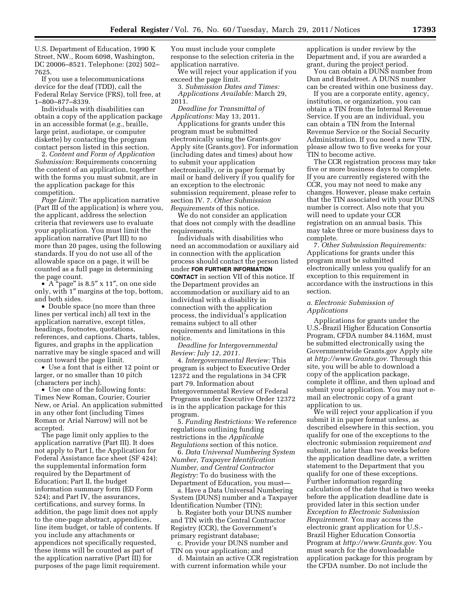U.S. Department of Education, 1990 K Street, NW., Room 6098, Washington, DC 20006–8521. Telephone: (202) 502– 7625.

If you use a telecommunications device for the deaf (TDD), call the Federal Relay Service (FRS), toll free, at 1–800–877–8339.

Individuals with disabilities can obtain a copy of the application package in an accessible format (*e.g.,* braille, large print, audiotape, or computer diskette) by contacting the program contact person listed in this section.

2. *Content and Form of Application Submission:* Requirements concerning the content of an application, together with the forms you must submit, are in the application package for this competition.

*Page Limit:* The application narrative (Part III of the application) is where you, the applicant, address the selection criteria that reviewers use to evaluate your application. You must limit the application narrative (Part III) to no more than 20 pages, using the following standards. If you do not use all of the allowable space on a page, it will be counted as a full page in determining the page count.

•  $A^{\prime\prime}$  page" is 8.5" x 11", on one side only, with 1″ margins at the top, bottom, and both sides.

• Double space (no more than three lines per vertical inch) all text in the application narrative, except titles, headings, footnotes, quotations, references, and captions. Charts, tables, figures, and graphs in the application narrative may be single spaced and will count toward the page limit.

• Use a font that is either 12 point or larger, or no smaller than 10 pitch (characters per inch).

• Use one of the following fonts: Times New Roman, Courier, Courier New, or Arial. An application submitted in any other font (including Times Roman or Arial Narrow) will not be accepted.

The page limit only applies to the application narrative (Part III). It does not apply to Part I, the Application for Federal Assistance face sheet (SF 424); the supplemental information form required by the Department of Education; Part II, the budget information summary form (ED Form 524); and Part IV, the assurances, certifications, and survey forms. In addition, the page limit does not apply to the one-page abstract, appendices, line item budget, or table of contents. If you include any attachments or appendices not specifically requested, these items will be counted as part of the application narrative (Part III) for purposes of the page limit requirement.

You must include your complete response to the selection criteria in the application narrative.

We will reject your application if you exceed the page limit.

3. *Submission Dates and Times: Applications Available:* March 29, 2011.

*Deadline for Transmittal of Applications:* May 13, 2011.

Applications for grants under this program must be submitted electronically using the Grants.gov Apply site (Grants.gov). For information (including dates and times) about how to submit your application electronically, or in paper format by mail or hand delivery if you qualify for an exception to the electronic submission requirement, please refer to section IV. 7. *Other Submission Requirements* of this notice.

We do not consider an application that does not comply with the deadline requirements.

Individuals with disabilities who need an accommodation or auxiliary aid in connection with the application process should contact the person listed under **FOR FURTHER INFORMATION CONTACT** in section VII of this notice. If the Department provides an accommodation or auxiliary aid to an individual with a disability in connection with the application process, the individual's application remains subject to all other requirements and limitations in this notice.

*Deadline for Intergovernmental Review: July 12, 2011.* 

4. *Intergovernmental Review:* This program is subject to Executive Order 12372 and the regulations in 34 CFR part 79. Information about Intergovernmental Review of Federal Programs under Executive Order 12372 is in the application package for this program.

5. *Funding Restrictions:* We reference regulations outlining funding restrictions in the *Applicable Regulations* section of this notice.

6. *Data Universal Numbering System Number, Taxpayer Identification Number, and Central Contractor Registry:* To do business with the Department of Education, you must—

a. Have a Data Universal Numbering System (DUNS) number and a Taxpayer Identification Number (TIN);

b. Register both your DUNS number and TIN with the Central Contractor Registry (CCR), the Government's primary registrant database;

c. Provide your DUNS number and TIN on your application; and

d. Maintain an active CCR registration with current information while your

application is under review by the Department and, if you are awarded a grant, during the project period.

You can obtain a DUNS number from Dun and Bradstreet. A DUNS number can be created within one business day.

If you are a corporate entity, agency, institution, or organization, you can obtain a TIN from the Internal Revenue Service. If you are an individual, you can obtain a TIN from the Internal Revenue Service or the Social Security Administration. If you need a new TIN, please allow two to five weeks for your TIN to become active.

The CCR registration process may take five or more business days to complete. If you are currently registered with the CCR, you may not need to make any changes. However, please make certain that the TIN associated with your DUNS number is correct. Also note that you will need to update your CCR registration on an annual basis. This may take three or more business days to complete.

7. *Other Submission Requirements:*  Applications for grants under this program must be submitted electronically unless you qualify for an exception to this requirement in accordance with the instructions in this section.

#### *a. Electronic Submission of Applications*

Applications for grants under the U.S.-Brazil Higher Education Consortia Program, CFDA number 84.116M, must be submitted electronically using the Governmentwide Grants.gov Apply site at *[http://www.Grants.gov.](http://www.Grants.gov)* Through this site, you will be able to download a copy of the application package, complete it offline, and then upload and submit your application. You may not email an electronic copy of a grant application to us.

We will reject your application if you submit it in paper format unless, as described elsewhere in this section, you qualify for one of the exceptions to the electronic submission requirement *and*  submit, no later than two weeks before the application deadline date, a written statement to the Department that you qualify for one of these exceptions. Further information regarding calculation of the date that is two weeks before the application deadline date is provided later in this section under *Exception to Electronic Submission Requirement.* You may access the electronic grant application for U.S.- Brazil Higher Education Consortia Program at *[http://www.Grants.gov.](http://www.Grants.gov)* You must search for the downloadable application package for this program by the CFDA number. Do not include the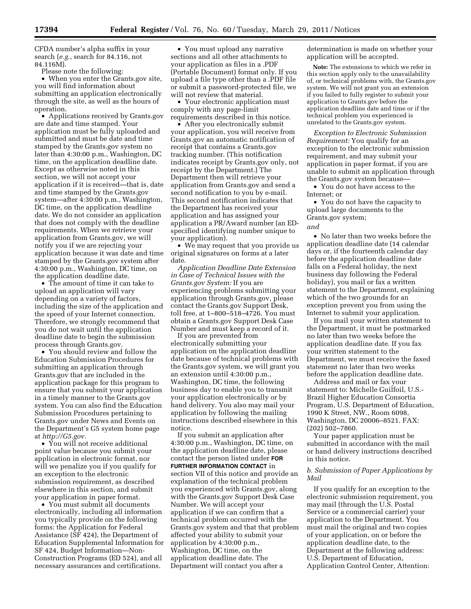CFDA number's alpha suffix in your search (*e.g.,* search for 84.116, not 84.116M).

Please note the following:

• When you enter the Grants.gov site, you will find information about submitting an application electronically through the site, as well as the hours of operation.

• Applications received by Grants.gov are date and time stamped. Your application must be fully uploaded and submitted and must be date and time stamped by the Grants.gov system no later than 4:30:00 p.m., Washington, DC time, on the application deadline date. Except as otherwise noted in this section, we will not accept your application if it is received—that is, date and time stamped by the Grants.gov system—after 4:30:00 p.m., Washington, DC time, on the application deadline date. We do not consider an application that does not comply with the deadline requirements. When we retrieve your application from Grants.gov, we will notify you if we are rejecting your application because it was date and time stamped by the Grants.gov system after 4:30:00 p.m., Washington, DC time, on the application deadline date.

• The amount of time it can take to upload an application will vary depending on a variety of factors, including the size of the application and the speed of your Internet connection. Therefore, we strongly recommend that you do not wait until the application deadline date to begin the submission process through Grants.gov.

• You should review and follow the Education Submission Procedures for submitting an application through Grants.gov that are included in the application package for this program to ensure that you submit your application in a timely manner to the Grants.gov system. You can also find the Education Submission Procedures pertaining to Grants.gov under News and Events on the Department's G5 system home page at *[http://G5.gov.](http://G5.gov)* 

• You will not receive additional point value because you submit your application in electronic format, nor will we penalize you if you qualify for an exception to the electronic submission requirement, as described elsewhere in this section, and submit your application in paper format.

• You must submit all documents electronically, including all information you typically provide on the following forms: the Application for Federal Assistance (SF 424), the Department of Education Supplemental Information for SF 424, Budget Information—Non-Construction Programs (ED 524), and all necessary assurances and certifications.

• You must upload any narrative sections and all other attachments to your application as files in a .PDF (Portable Document) format only. If you upload a file type other than a .PDF file or submit a password-protected file, we will not review that material.

• Your electronic application must comply with any page-limit requirements described in this notice.

• After you electronically submit your application, you will receive from Grants.gov an automatic notification of receipt that contains a Grants.gov tracking number. (This notification indicates receipt by Grants.gov only, not receipt by the Department.) The Department then will retrieve your application from Grants.gov and send a second notification to you by e-mail. This second notification indicates that the Department has received your application and has assigned your application a PR/Award number (an EDspecified identifying number unique to your application).

• We may request that you provide us original signatures on forms at a later date.

*Application Deadline Date Extension in Case of Technical Issues with the Grants.gov System:* If you are experiencing problems submitting your application through Grants.gov, please contact the Grants.gov Support Desk, toll free, at 1–800–518–4726. You must obtain a Grants.gov Support Desk Case Number and must keep a record of it.

If you are prevented from electronically submitting your application on the application deadline date because of technical problems with the Grants.gov system, we will grant you an extension until 4:30:00 p.m., Washington, DC time, the following business day to enable you to transmit your application electronically or by hand delivery. You also may mail your application by following the mailing instructions described elsewhere in this notice.

If you submit an application after 4:30:00 p.m., Washington, DC time, on the application deadline date, please contact the person listed under **FOR FURTHER INFORMATION CONTACT** in section VII of this notice and provide an explanation of the technical problem you experienced with Grants.gov, along with the Grants.gov Support Desk Case Number. We will accept your application if we can confirm that a technical problem occurred with the Grants.gov system and that that problem affected your ability to submit your application by 4:30:00 p.m., Washington, DC time, on the application deadline date. The Department will contact you after a

determination is made on whether your application will be accepted.

**Note:** The extensions to which we refer in this section apply only to the unavailability of, or technical problems with, the Grants.gov system. We will not grant you an extension if you failed to fully register to submit your application to Grants.gov before the application deadline date and time or if the technical problem you experienced is unrelated to the Grants.gov system.

*Exception to Electronic Submission Requirement:* You qualify for an exception to the electronic submission requirement, and may submit your application in paper format, if you are unable to submit an application through the Grants.gov system because—

• You do not have access to the Internet; or

• You do not have the capacity to upload large documents to the Grants.gov system;

*and* 

• No later than two weeks before the application deadline date (14 calendar days or, if the fourteenth calendar day before the application deadline date falls on a Federal holiday, the next business day following the Federal holiday), you mail or fax a written statement to the Department, explaining which of the two grounds for an exception prevent you from using the Internet to submit your application.

If you mail your written statement to the Department, it must be postmarked no later than two weeks before the application deadline date. If you fax your written statement to the Department, we must receive the faxed statement no later than two weeks before the application deadline date.

Address and mail or fax your statement to: Michelle Guilfoil, U.S.- Brazil Higher Education Consortia Program, U.S. Department of Education, 1990 K Street, NW., Room 6098, Washington, DC 20006–8521. FAX: (202) 502–7860.

Your paper application must be submitted in accordance with the mail or hand delivery instructions described in this notice.

### *b. Submission of Paper Applications by Mail*

If you qualify for an exception to the electronic submission requirement, you may mail (through the U.S. Postal Service or a commercial carrier) your application to the Department. You must mail the original and two copies of your application, on or before the application deadline date, to the Department at the following address: U.S. Department of Education, Application Control Center, Attention: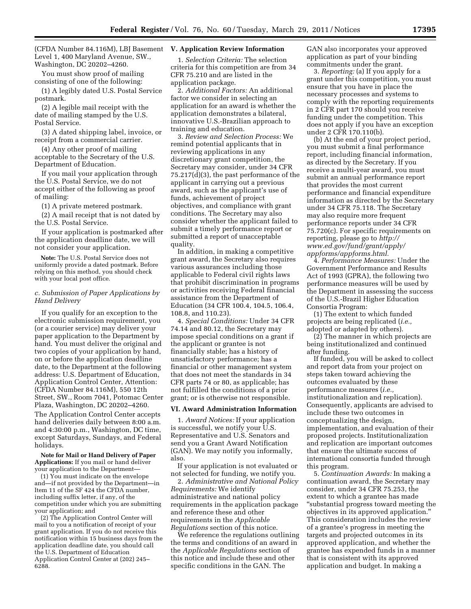(CFDA Number 84.116M), LBJ Basement **V. Application Review Information**  Level 1, 400 Maryland Avenue, SW., Washington, DC 20202–4260.

You must show proof of mailing consisting of one of the following:

(1) A legibly dated U.S. Postal Service postmark.

(2) A legible mail receipt with the date of mailing stamped by the U.S. Postal Service.

(3) A dated shipping label, invoice, or receipt from a commercial carrier.

(4) Any other proof of mailing acceptable to the Secretary of the U.S. Department of Education.

If you mail your application through the U.S. Postal Service, we do not accept either of the following as proof of mailing:

(1) A private metered postmark.

(2) A mail receipt that is not dated by the U.S. Postal Service.

If your application is postmarked after the application deadline date, we will not consider your application.

**Note:** The U.S. Postal Service does not uniformly provide a dated postmark. Before relying on this method, you should check with your local post office.

### *c. Submission of Paper Applications by Hand Delivery*

If you qualify for an exception to the electronic submission requirement, you (or a courier service) may deliver your paper application to the Department by hand. You must deliver the original and two copies of your application by hand, on or before the application deadline date, to the Department at the following address: U.S. Department of Education, Application Control Center, Attention: (CFDA Number 84.116M), 550 12th Street, SW., Room 7041, Potomac Center Plaza, Washington, DC 20202–4260.

The Application Control Center accepts hand deliveries daily between 8:00 a.m. and 4:30:00 p.m., Washington, DC time, except Saturdays, Sundays, and Federal holidays.

### **Note for Mail or Hand Delivery of Paper Applications:** If you mail or hand deliver your application to the Department—

(1) You must indicate on the envelope and—if not provided by the Department—in Item 11 of the SF 424 the CFDA number, including suffix letter, if any, of the competition under which you are submitting your application; and

(2) The Application Control Center will mail to you a notification of receipt of your grant application. If you do not receive this notification within 15 business days from the application deadline date, you should call the U.S. Department of Education Application Control Center at (202) 245– 6288.

1. *Selection Criteria:* The selection criteria for this competition are from 34 CFR 75.210 and are listed in the application package.

2. *Additional Factors:* An additional factor we consider in selecting an application for an award is whether the application demonstrates a bilateral, innovative U.S.-Brazilian approach to training and education.

3. *Review and Selection Process:* We remind potential applicants that in reviewing applications in any discretionary grant competition, the Secretary may consider, under 34 CFR 75.217(d)(3), the past performance of the applicant in carrying out a previous award, such as the applicant's use of funds, achievement of project objectives, and compliance with grant conditions. The Secretary may also consider whether the applicant failed to submit a timely performance report or submitted a report of unacceptable quality.

In addition, in making a competitive grant award, the Secretary also requires various assurances including those applicable to Federal civil rights laws that prohibit discrimination in programs or activities receiving Federal financial assistance from the Department of Education (34 CFR 100.4, 104.5, 106.4, 108.8, and 110.23).

4. *Special Conditions:* Under 34 CFR 74.14 and 80.12, the Secretary may impose special conditions on a grant if the applicant or grantee is not financially stable; has a history of unsatisfactory performance; has a financial or other management system that does not meet the standards in 34 CFR parts 74 or 80, as applicable; has not fulfilled the conditions of a prior grant; or is otherwise not responsible.

## **VI. Award Administration Information**

1. *Award Notices:* If your application is successful, we notify your U.S. Representative and U.S. Senators and send you a Grant Award Notification (GAN). We may notify you informally, also.

If your application is not evaluated or not selected for funding, we notify you.

2. *Administrative and National Policy Requirements:* We identify administrative and national policy requirements in the application package and reference these and other requirements in the *Applicable Regulations* section of this notice.

We reference the regulations outlining the terms and conditions of an award in the *Applicable Regulations* section of this notice and include these and other specific conditions in the GAN. The

GAN also incorporates your approved application as part of your binding commitments under the grant.

3. *Reporting:* (a) If you apply for a grant under this competition, you must ensure that you have in place the necessary processes and systems to comply with the reporting requirements in 2 CFR part 170 should you receive funding under the competition. This does not apply if you have an exception under 2 CFR 170.110(b).

(b) At the end of your project period, you must submit a final performance report, including financial information, as directed by the Secretary. If you receive a multi-year award, you must submit an annual performance report that provides the most current performance and financial expenditure information as directed by the Secretary under 34 CFR 75.118. The Secretary may also require more frequent performance reports under 34 CFR 75.720(c). For specific requirements on reporting, please go to *[http://](http://www.ed.gov/fund/grant/apply/appforms/appforms.html) [www.ed.gov/fund/grant/apply/](http://www.ed.gov/fund/grant/apply/appforms/appforms.html) [appforms/appforms.html.](http://www.ed.gov/fund/grant/apply/appforms/appforms.html)* 

4. *Performance Measures:* Under the Government Performance and Results Act of 1993 (GPRA), the following two performance measures will be used by the Department in assessing the success of the U.S.-Brazil Higher Education Consortia Program:

(1) The extent to which funded projects are being replicated (*i.e.,*  adopted or adapted by others).

(2) The manner in which projects are being institutionalized and continued after funding.

If funded, you will be asked to collect and report data from your project on steps taken toward achieving the outcomes evaluated by these performance measures (*i.e.,*  institutionalization and replication). Consequently, applicants are advised to include these two outcomes in conceptualizing the design, implementation, and evaluation of their proposed projects. Institutionalization and replication are important outcomes that ensure the ultimate success of international consortia funded through this program.

5. *Continuation Awards:* In making a continuation award, the Secretary may consider, under 34 CFR 75.253, the extent to which a grantee has made ''substantial progress toward meeting the objectives in its approved application.'' This consideration includes the review of a grantee's progress in meeting the targets and projected outcomes in its approved application, and whether the grantee has expended funds in a manner that is consistent with its approved application and budget. In making a